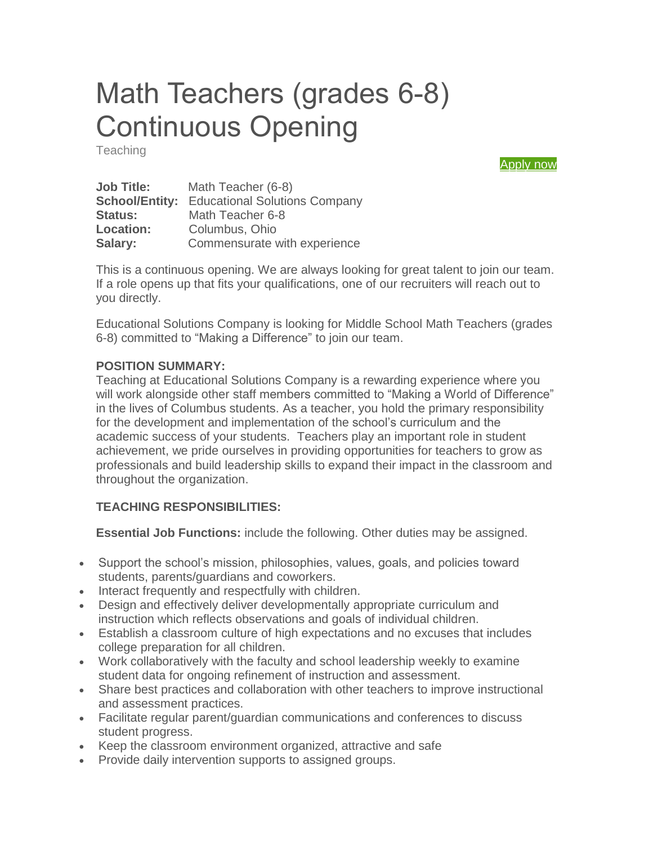# Math Teachers (grades 6-8) Continuous Opening

**Teaching** 

[Apply now](https://form.jotform.com/61095133228148)

| <b>Job Title:</b>     | Math Teacher (6-8)                   |
|-----------------------|--------------------------------------|
| <b>School/Entity:</b> | <b>Educational Solutions Company</b> |
| <b>Status:</b>        | Math Teacher 6-8                     |
| <b>Location:</b>      | Columbus, Ohio                       |
| Salary:               | Commensurate with experience         |

This is a continuous opening. We are always looking for great talent to join our team. If a role opens up that fits your qualifications, one of our recruiters will reach out to you directly.

Educational Solutions Company is looking for Middle School Math Teachers (grades 6-8) committed to "Making a Difference" to join our team.

#### **POSITION SUMMARY:**

Teaching at Educational Solutions Company is a rewarding experience where you will work alongside other staff members committed to "Making a World of Difference" in the lives of Columbus students. As a teacher, you hold the primary responsibility for the development and implementation of the school's curriculum and the academic success of your students. Teachers play an important role in student achievement, we pride ourselves in providing opportunities for teachers to grow as professionals and build leadership skills to expand their impact in the classroom and throughout the organization.

### **TEACHING RESPONSIBILITIES:**

**Essential Job Functions:** include the following. Other duties may be assigned.

- Support the school's mission, philosophies, values, goals, and policies toward students, parents/guardians and coworkers.
- Interact frequently and respectfully with children.
- Design and effectively deliver developmentally appropriate curriculum and instruction which reflects observations and goals of individual children.
- Establish a classroom culture of high expectations and no excuses that includes college preparation for all children.
- Work collaboratively with the faculty and school leadership weekly to examine student data for ongoing refinement of instruction and assessment.
- Share best practices and collaboration with other teachers to improve instructional and assessment practices.
- Facilitate regular parent/guardian communications and conferences to discuss student progress.
- Keep the classroom environment organized, attractive and safe
- Provide daily intervention supports to assigned groups.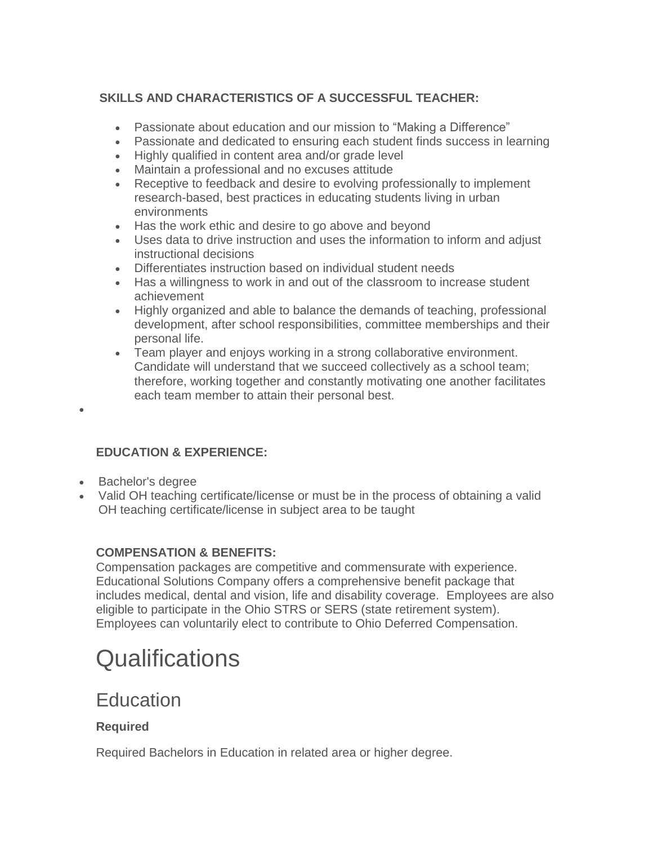### **SKILLS AND CHARACTERISTICS OF A SUCCESSFUL TEACHER:**

- Passionate about education and our mission to "Making a Difference"
- Passionate and dedicated to ensuring each student finds success in learning
- Highly qualified in content area and/or grade level
- Maintain a professional and no excuses attitude
- Receptive to feedback and desire to evolving professionally to implement research-based, best practices in educating students living in urban environments
- Has the work ethic and desire to go above and beyond
- Uses data to drive instruction and uses the information to inform and adjust instructional decisions
- Differentiates instruction based on individual student needs
- Has a willingness to work in and out of the classroom to increase student achievement
- Highly organized and able to balance the demands of teaching, professional development, after school responsibilities, committee memberships and their personal life.
- Team player and enjoys working in a strong collaborative environment. Candidate will understand that we succeed collectively as a school team; therefore, working together and constantly motivating one another facilitates each team member to attain their personal best.

### **EDUCATION & EXPERIENCE:**

• Bachelor's degree

 $\bullet$ 

 Valid OH teaching certificate/license or must be in the process of obtaining a valid OH teaching certificate/license in subject area to be taught

### **COMPENSATION & BENEFITS:**

Compensation packages are competitive and commensurate with experience. Educational Solutions Company offers a comprehensive benefit package that includes medical, dental and vision, life and disability coverage. Employees are also eligible to participate in the Ohio STRS or SERS (state retirement system). Employees can voluntarily elect to contribute to Ohio Deferred Compensation.

## **Qualifications**

### **Education**

### **Required**

Required Bachelors in Education in related area or higher degree.